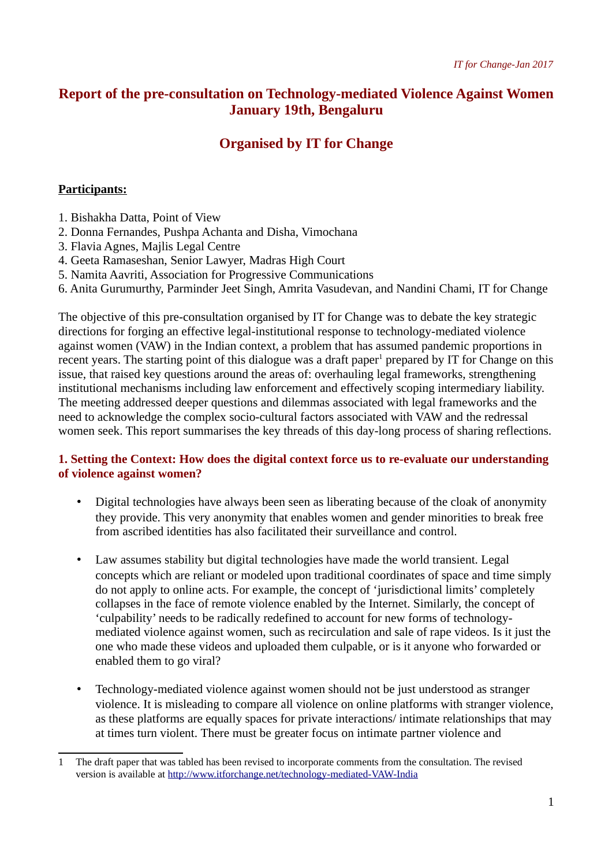# **Report of the pre-consultation on Technology-mediated Violence Against Women January 19th, Bengaluru**

# **Organised by IT for Change**

## **Participants:**

- 1. Bishakha Datta, Point of View
- 2. Donna Fernandes, Pushpa Achanta and Disha, Vimochana
- 3. Flavia Agnes, Majlis Legal Centre
- 4. Geeta Ramaseshan, Senior Lawyer, Madras High Court
- 5. Namita Aavriti, Association for Progressive Communications
- 6. Anita Gurumurthy, Parminder Jeet Singh, Amrita Vasudevan, and Nandini Chami, IT for Change

The objective of this pre-consultation organised by IT for Change was to debate the key strategic directions for forging an effective legal-institutional response to technology-mediated violence against women (VAW) in the Indian context, a problem that has assumed pandemic proportions in recent years. The starting point of this dialogue was a draft paper $^1$  $^1$  prepared by IT for Change on this issue, that raised key questions around the areas of: overhauling legal frameworks, strengthening institutional mechanisms including law enforcement and effectively scoping intermediary liability. The meeting addressed deeper questions and dilemmas associated with legal frameworks and the need to acknowledge the complex socio-cultural factors associated with VAW and the redressal women seek. This report summarises the key threads of this day-long process of sharing reflections.

## **1. Setting the Context: How does the digital context force us to re-evaluate our understanding of violence against women?**

- Digital technologies have always been seen as liberating because of the cloak of anonymity they provide. This very anonymity that enables women and gender minorities to break free from ascribed identities has also facilitated their surveillance and control.
- Law assumes stability but digital technologies have made the world transient. Legal concepts which are reliant or modeled upon traditional coordinates of space and time simply do not apply to online acts. For example, the concept of 'jurisdictional limits' completely collapses in the face of remote violence enabled by the Internet. Similarly, the concept of 'culpability' needs to be radically redefined to account for new forms of technologymediated violence against women, such as recirculation and sale of rape videos. Is it just the one who made these videos and uploaded them culpable, or is it anyone who forwarded or enabled them to go viral?
- Technology-mediated violence against women should not be just understood as stranger violence. It is misleading to compare all violence on online platforms with stranger violence, as these platforms are equally spaces for private interactions/ intimate relationships that may at times turn violent. There must be greater focus on intimate partner violence and

<span id="page-0-0"></span><sup>1</sup> The draft paper that was tabled has been revised to incorporate comments from the consultation. The revised version is available at<http://www.itforchange.net/technology-mediated-VAW-India>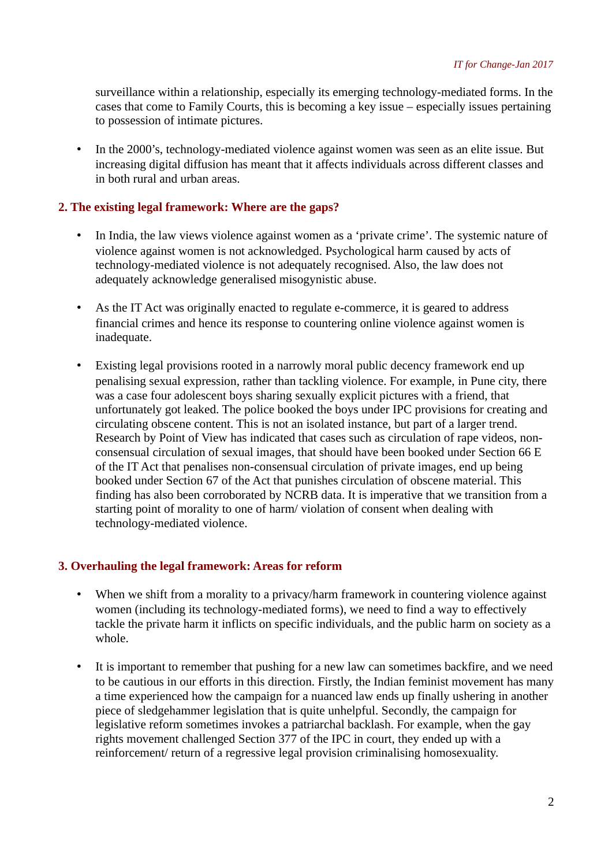surveillance within a relationship, especially its emerging technology-mediated forms. In the cases that come to Family Courts, this is becoming a key issue – especially issues pertaining to possession of intimate pictures.

• In the 2000's, technology-mediated violence against women was seen as an elite issue. But increasing digital diffusion has meant that it affects individuals across different classes and in both rural and urban areas.

#### **2. The existing legal framework: Where are the gaps?**

- In India, the law views violence against women as a 'private crime'. The systemic nature of violence against women is not acknowledged. Psychological harm caused by acts of technology-mediated violence is not adequately recognised. Also, the law does not adequately acknowledge generalised misogynistic abuse.
- As the IT Act was originally enacted to regulate e-commerce, it is geared to address financial crimes and hence its response to countering online violence against women is inadequate.
- Existing legal provisions rooted in a narrowly moral public decency framework end up penalising sexual expression, rather than tackling violence. For example, in Pune city, there was a case four adolescent boys sharing sexually explicit pictures with a friend, that unfortunately got leaked. The police booked the boys under IPC provisions for creating and circulating obscene content. This is not an isolated instance, but part of a larger trend. Research by Point of View has indicated that cases such as circulation of rape videos, nonconsensual circulation of sexual images, that should have been booked under Section 66 E of the IT Act that penalises non-consensual circulation of private images, end up being booked under Section 67 of the Act that punishes circulation of obscene material. This finding has also been corroborated by NCRB data. It is imperative that we transition from a starting point of morality to one of harm/ violation of consent when dealing with technology-mediated violence.

#### **3. Overhauling the legal framework: Areas for reform**

- When we shift from a morality to a privacy/harm framework in countering violence against women (including its technology-mediated forms), we need to find a way to effectively tackle the private harm it inflicts on specific individuals, and the public harm on society as a whole.
- It is important to remember that pushing for a new law can sometimes backfire, and we need to be cautious in our efforts in this direction. Firstly, the Indian feminist movement has many a time experienced how the campaign for a nuanced law ends up finally ushering in another piece of sledgehammer legislation that is quite unhelpful. Secondly, the campaign for legislative reform sometimes invokes a patriarchal backlash. For example, when the gay rights movement challenged Section 377 of the IPC in court, they ended up with a reinforcement/ return of a regressive legal provision criminalising homosexuality.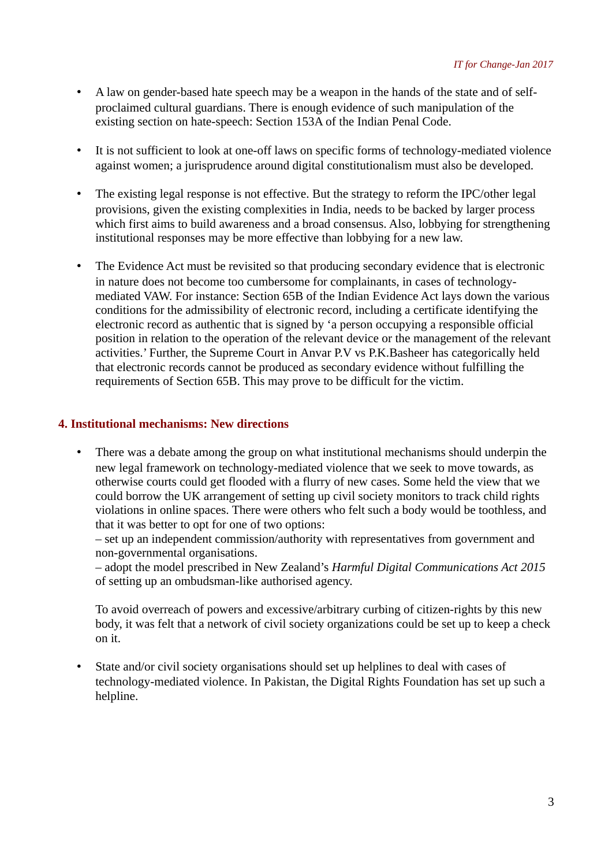- A law on gender-based hate speech may be a weapon in the hands of the state and of selfproclaimed cultural guardians. There is enough evidence of such manipulation of the existing section on hate-speech: Section 153A of the Indian Penal Code.
- It is not sufficient to look at one-off laws on specific forms of technology-mediated violence against women; a jurisprudence around digital constitutionalism must also be developed.
- The existing legal response is not effective. But the strategy to reform the IPC/other legal provisions, given the existing complexities in India, needs to be backed by larger process which first aims to build awareness and a broad consensus. Also, lobbying for strengthening institutional responses may be more effective than lobbying for a new law.
- The Evidence Act must be revisited so that producing secondary evidence that is electronic in nature does not become too cumbersome for complainants, in cases of technologymediated VAW. For instance: Section 65B of the Indian Evidence Act lays down the various conditions for the admissibility of electronic record, including a certificate identifying the electronic record as authentic that is signed by 'a person occupying a responsible official position in relation to the operation of the relevant device or the management of the relevant activities.' Further, the Supreme Court in Anvar P.V vs P.K.Basheer has categorically held that electronic records cannot be produced as secondary evidence without fulfilling the requirements of Section 65B. This may prove to be difficult for the victim.

## **4. Institutional mechanisms: New directions**

• There was a debate among the group on what institutional mechanisms should underpin the new legal framework on technology-mediated violence that we seek to move towards, as otherwise courts could get flooded with a flurry of new cases. Some held the view that we could borrow the UK arrangement of setting up civil society monitors to track child rights violations in online spaces. There were others who felt such a body would be toothless, and that it was better to opt for one of two options:

– set up an independent commission/authority with representatives from government and non-governmental organisations.

– adopt the model prescribed in New Zealand's *Harmful Digital Communications Act 2015*  of setting up an ombudsman-like authorised agency.

To avoid overreach of powers and excessive/arbitrary curbing of citizen-rights by this new body, it was felt that a network of civil society organizations could be set up to keep a check on it.

• State and/or civil society organisations should set up helplines to deal with cases of technology-mediated violence. In Pakistan, the Digital Rights Foundation has set up such a helpline.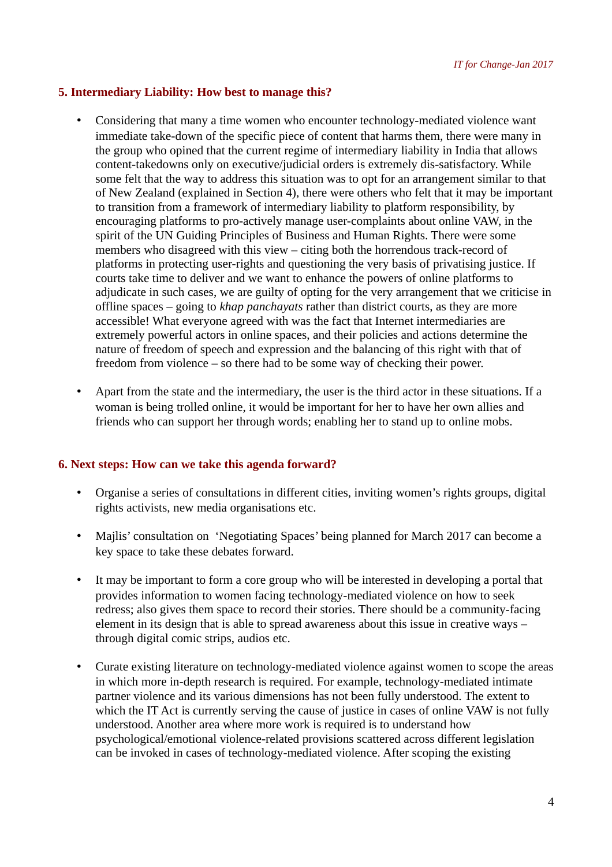### **5. Intermediary Liability: How best to manage this?**

- Considering that many a time women who encounter technology-mediated violence want immediate take-down of the specific piece of content that harms them, there were many in the group who opined that the current regime of intermediary liability in India that allows content-takedowns only on executive/judicial orders is extremely dis-satisfactory. While some felt that the way to address this situation was to opt for an arrangement similar to that of New Zealand (explained in Section 4), there were others who felt that it may be important to transition from a framework of intermediary liability to platform responsibility, by encouraging platforms to pro-actively manage user-complaints about online VAW, in the spirit of the UN Guiding Principles of Business and Human Rights. There were some members who disagreed with this view – citing both the horrendous track-record of platforms in protecting user-rights and questioning the very basis of privatising justice. If courts take time to deliver and we want to enhance the powers of online platforms to adjudicate in such cases, we are guilty of opting for the very arrangement that we criticise in offline spaces – going to *khap panchayats* rather than district courts, as they are more accessible! What everyone agreed with was the fact that Internet intermediaries are extremely powerful actors in online spaces, and their policies and actions determine the nature of freedom of speech and expression and the balancing of this right with that of freedom from violence – so there had to be some way of checking their power.
- Apart from the state and the intermediary, the user is the third actor in these situations. If a woman is being trolled online, it would be important for her to have her own allies and friends who can support her through words; enabling her to stand up to online mobs.

#### **6. Next steps: How can we take this agenda forward?**

- Organise a series of consultations in different cities, inviting women's rights groups, digital rights activists, new media organisations etc.
- Majlis' consultation on 'Negotiating Spaces' being planned for March 2017 can become a key space to take these debates forward.
- It may be important to form a core group who will be interested in developing a portal that provides information to women facing technology-mediated violence on how to seek redress; also gives them space to record their stories. There should be a community-facing element in its design that is able to spread awareness about this issue in creative ways – through digital comic strips, audios etc.
- Curate existing literature on technology-mediated violence against women to scope the areas in which more in-depth research is required. For example, technology-mediated intimate partner violence and its various dimensions has not been fully understood. The extent to which the IT Act is currently serving the cause of justice in cases of online VAW is not fully understood. Another area where more work is required is to understand how psychological/emotional violence-related provisions scattered across different legislation can be invoked in cases of technology-mediated violence. After scoping the existing